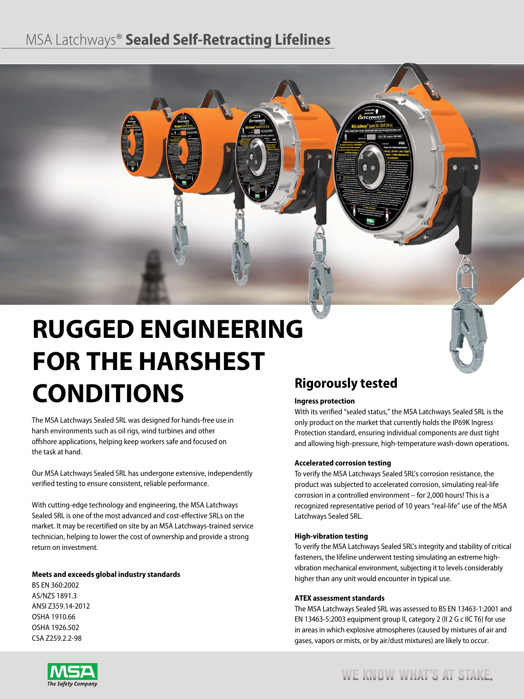# MSA Latchways® **Sealed Self-Retracting Lifelines**



# **RUGGED ENGINEERING FOR THE HARSHEST CONDITIONS**

The MSA Latchways Sealed SRL was designed for hands-free use in harsh environments such as oil rigs, wind turbines and other offshore applications, helping keep workers safe and focused on the task at hand.

Our MSA Latchways Sealed SRL has undergone extensive, independently verified testing to ensure consistent, reliable performance.

With cutting-edge technology and engineering, the MSA Latchways Sealed SRL is one of the most advanced and cost-effective SRLs on the market. It may be recertified on site by an MSA Latchways-trained service technician, helping to lower the cost of ownership and provide a strong return on investment.

#### **Meets and exceeds global industry standards**

BS EN 360:2002 AS/NZS 1891.3 ANSI Z359.14-2012 OSHA 1910.66 OSHA 1926.502 CSA Z259.2.2-98

## **Rigorously tested**

#### **Ingress protection**

With its verified "sealed status," the MSA Latchways Sealed SRL is the only product on the market that currently holds the IP69K Ingress Protection standard, ensuring individual components are dust tight and allowing high-pressure, high-temperature wash-down operations.

#### **Accelerated corrosion testing**

To verify the MSA Latchways Sealed SRL's corrosion resistance, the product was subjected to accelerated corrosion, simulating real-life corrosion in a controlled environment – for 2,000 hours! This is a recognized representative period of 10 years "real-life" use of the MSA Latchways Sealed SRL.

#### **High-vibration testing**

To verify the MSA Latchways Sealed SRL's integrity and stability of critical fasteners, the lifeline underwent testing simulating an extreme highvibration mechanical environment, subjecting it to levels considerably higher than any unit would encounter in typical use.

#### **ATEX assessment standards**

The MSA Latchways Sealed SRL was assessed to BS EN 13463-1:2001 and EN 13463-5:2003 equipment group II, category 2 (II 2 G c IIC T6) for use in areas in which explosive atmospheres (caused by mixtures of air and gases, vapors or mists, or by air/dust mixtures) are likely to occur.



WE KNOW WHAT'S AT STAKE.